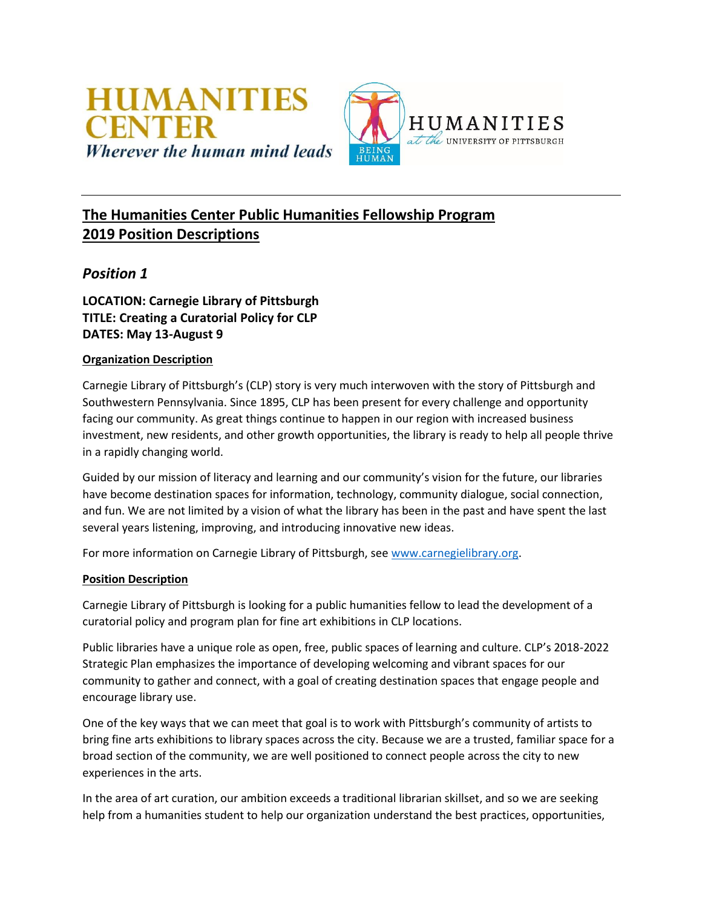

# **The Humanities Center Public Humanities Fellowship Program 2019 Position Descriptions**

## *Position 1*

**LOCATION: Carnegie Library of Pittsburgh TITLE: Creating a Curatorial Policy for CLP DATES: May 13-August 9**

## **Organization Description**

Carnegie Library of Pittsburgh's (CLP) story is very much interwoven with the story of Pittsburgh and Southwestern Pennsylvania. Since 1895, CLP has been present for every challenge and opportunity facing our community. As great things continue to happen in our region with increased business investment, new residents, and other growth opportunities, the library is ready to help all people thrive in a rapidly changing world.

Guided by our mission of literacy and learning and our community's vision for the future, our libraries have become destination spaces for information, technology, community dialogue, social connection, and fun. We are not limited by a vision of what the library has been in the past and have spent the last several years listening, improving, and introducing innovative new ideas.

For more information on Carnegie Library of Pittsburgh, see [www.carnegielibrary.org.](http://www.carnegielibrary.org/)

### **Position Description**

Carnegie Library of Pittsburgh is looking for a public humanities fellow to lead the development of a curatorial policy and program plan for fine art exhibitions in CLP locations.

Public libraries have a unique role as open, free, public spaces of learning and culture. CLP's 2018-2022 Strategic Plan emphasizes the importance of developing welcoming and vibrant spaces for our community to gather and connect, with a goal of creating destination spaces that engage people and encourage library use.

One of the key ways that we can meet that goal is to work with Pittsburgh's community of artists to bring fine arts exhibitions to library spaces across the city. Because we are a trusted, familiar space for a broad section of the community, we are well positioned to connect people across the city to new experiences in the arts.

In the area of art curation, our ambition exceeds a traditional librarian skillset, and so we are seeking help from a humanities student to help our organization understand the best practices, opportunities,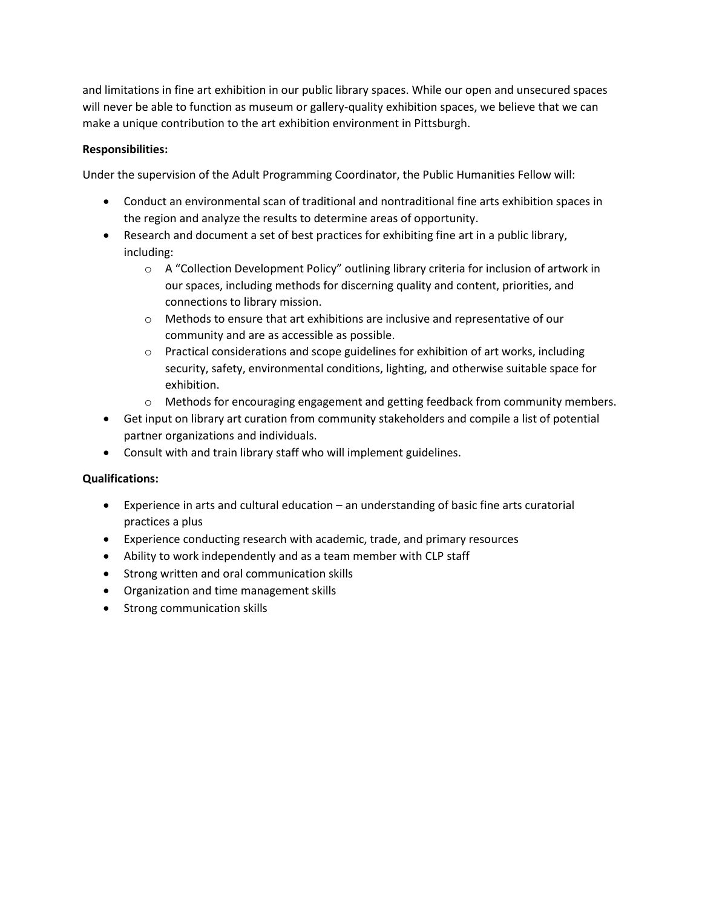and limitations in fine art exhibition in our public library spaces. While our open and unsecured spaces will never be able to function as museum or gallery-quality exhibition spaces, we believe that we can make a unique contribution to the art exhibition environment in Pittsburgh.

## **Responsibilities:**

Under the supervision of the Adult Programming Coordinator, the Public Humanities Fellow will:

- Conduct an environmental scan of traditional and nontraditional fine arts exhibition spaces in the region and analyze the results to determine areas of opportunity.
- Research and document a set of best practices for exhibiting fine art in a public library, including:
	- o A "Collection Development Policy" outlining library criteria for inclusion of artwork in our spaces, including methods for discerning quality and content, priorities, and connections to library mission.
	- o Methods to ensure that art exhibitions are inclusive and representative of our community and are as accessible as possible.
	- o Practical considerations and scope guidelines for exhibition of art works, including security, safety, environmental conditions, lighting, and otherwise suitable space for exhibition.
	- o Methods for encouraging engagement and getting feedback from community members.
- Get input on library art curation from community stakeholders and compile a list of potential partner organizations and individuals.
- Consult with and train library staff who will implement guidelines.

- Experience in arts and cultural education an understanding of basic fine arts curatorial practices a plus
- Experience conducting research with academic, trade, and primary resources
- Ability to work independently and as a team member with CLP staff
- **•** Strong written and oral communication skills
- Organization and time management skills
- Strong communication skills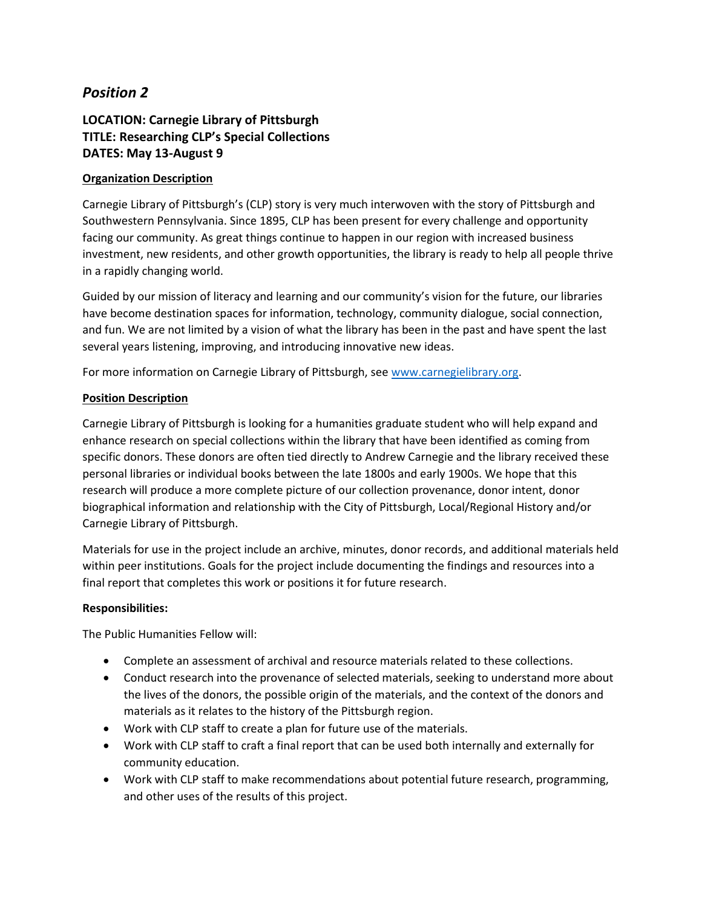## **LOCATION: Carnegie Library of Pittsburgh TITLE: Researching CLP's Special Collections DATES: May 13-August 9**

## **Organization Description**

Carnegie Library of Pittsburgh's (CLP) story is very much interwoven with the story of Pittsburgh and Southwestern Pennsylvania. Since 1895, CLP has been present for every challenge and opportunity facing our community. As great things continue to happen in our region with increased business investment, new residents, and other growth opportunities, the library is ready to help all people thrive in a rapidly changing world.

Guided by our mission of literacy and learning and our community's vision for the future, our libraries have become destination spaces for information, technology, community dialogue, social connection, and fun. We are not limited by a vision of what the library has been in the past and have spent the last several years listening, improving, and introducing innovative new ideas.

For more information on Carnegie Library of Pittsburgh, see [www.carnegielibrary.org.](http://www.carnegielibrary.org/)

## **Position Description**

Carnegie Library of Pittsburgh is looking for a humanities graduate student who will help expand and enhance research on special collections within the library that have been identified as coming from specific donors. These donors are often tied directly to Andrew Carnegie and the library received these personal libraries or individual books between the late 1800s and early 1900s. We hope that this research will produce a more complete picture of our collection provenance, donor intent, donor biographical information and relationship with the City of Pittsburgh, Local/Regional History and/or Carnegie Library of Pittsburgh.

Materials for use in the project include an archive, minutes, donor records, and additional materials held within peer institutions. Goals for the project include documenting the findings and resources into a final report that completes this work or positions it for future research.

### **Responsibilities:**

The Public Humanities Fellow will:

- Complete an assessment of archival and resource materials related to these collections.
- Conduct research into the provenance of selected materials, seeking to understand more about the lives of the donors, the possible origin of the materials, and the context of the donors and materials as it relates to the history of the Pittsburgh region.
- Work with CLP staff to create a plan for future use of the materials.
- Work with CLP staff to craft a final report that can be used both internally and externally for community education.
- Work with CLP staff to make recommendations about potential future research, programming, and other uses of the results of this project.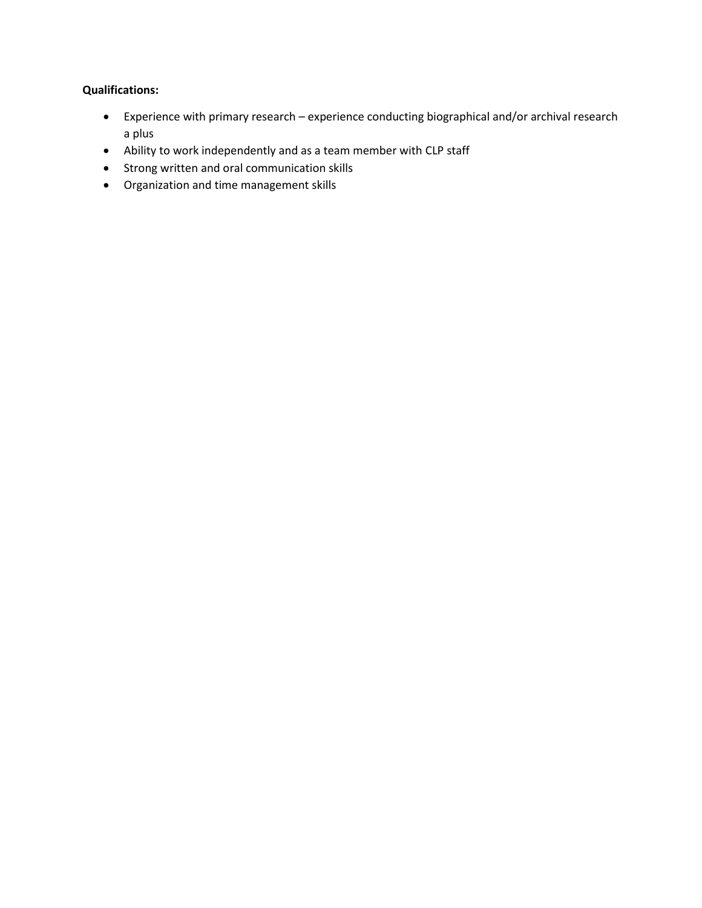- Experience with primary research experience conducting biographical and/or archival research a plus
- Ability to work independently and as a team member with CLP staff
- Strong written and oral communication skills
- Organization and time management skills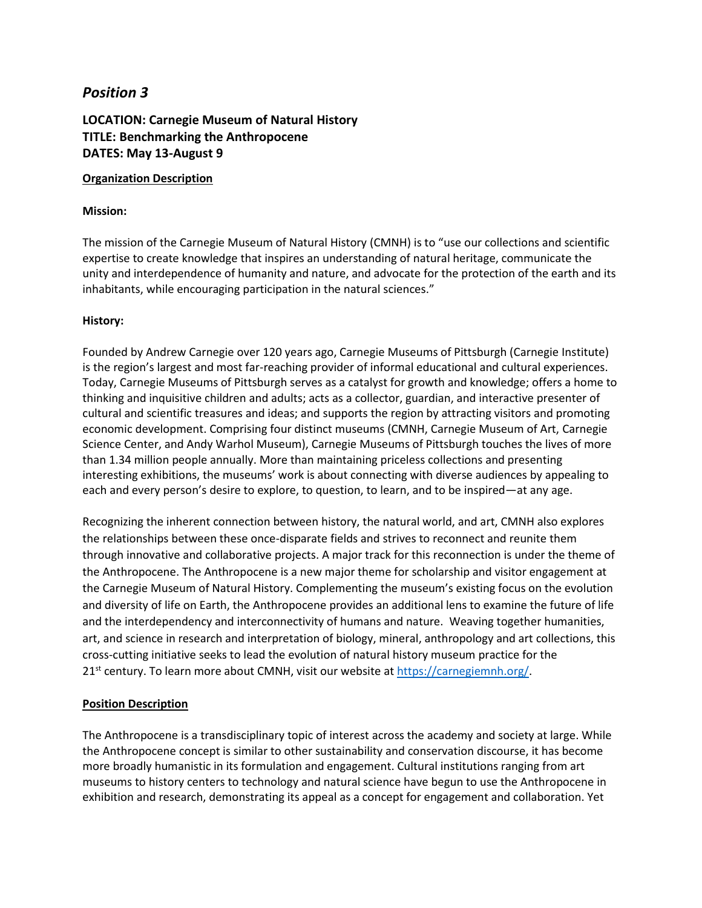## **LOCATION: Carnegie Museum of Natural History TITLE: Benchmarking the Anthropocene DATES: May 13-August 9**

#### **Organization Description**

#### **Mission:**

The mission of the Carnegie Museum of Natural History (CMNH) is to "use our collections and scientific expertise to create knowledge that inspires an understanding of natural heritage, communicate the unity and interdependence of humanity and nature, and advocate for the protection of the earth and its inhabitants, while encouraging participation in the natural sciences."

### **History:**

Founded by Andrew Carnegie over 120 years ago, Carnegie Museums of Pittsburgh (Carnegie Institute) is the region's largest and most far-reaching provider of informal educational and cultural experiences. Today, Carnegie Museums of Pittsburgh serves as a catalyst for growth and knowledge; offers a home to thinking and inquisitive children and adults; acts as a collector, guardian, and interactive presenter of cultural and scientific treasures and ideas; and supports the region by attracting visitors and promoting economic development. Comprising four distinct museums (CMNH, Carnegie Museum of Art, Carnegie Science Center, and Andy Warhol Museum), Carnegie Museums of Pittsburgh touches the lives of more than 1.34 million people annually. More than maintaining priceless collections and presenting interesting exhibitions, the museums' work is about connecting with diverse audiences by appealing to each and every person's desire to explore, to question, to learn, and to be inspired—at any age.

Recognizing the inherent connection between history, the natural world, and art, CMNH also explores the relationships between these once-disparate fields and strives to reconnect and reunite them through innovative and collaborative projects. A major track for this reconnection is under the theme of the Anthropocene. The Anthropocene is a new major theme for scholarship and visitor engagement at the Carnegie Museum of Natural History. Complementing the museum's existing focus on the evolution and diversity of life on Earth, the Anthropocene provides an additional lens to examine the future of life and the interdependency and interconnectivity of humans and nature. Weaving together humanities, art, and science in research and interpretation of biology, mineral, anthropology and art collections, this cross-cutting initiative seeks to lead the evolution of natural history museum practice for the 21<sup>st</sup> century. To learn more about CMNH, visit our website at [https://carnegiemnh.org/.](https://carnegiemnh.org/)

### **Position Description**

The Anthropocene is a transdisciplinary topic of interest across the academy and society at large. While the Anthropocene concept is similar to other sustainability and conservation discourse, it has become more broadly humanistic in its formulation and engagement. Cultural institutions ranging from art museums to history centers to technology and natural science have begun to use the Anthropocene in exhibition and research, demonstrating its appeal as a concept for engagement and collaboration. Yet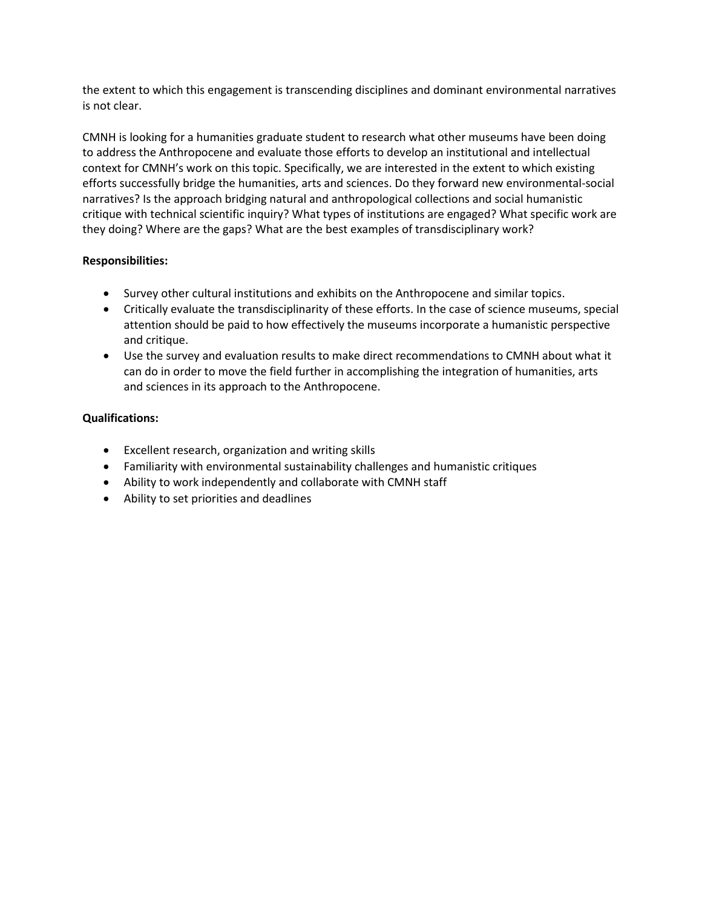the extent to which this engagement is transcending disciplines and dominant environmental narratives is not clear.

CMNH is looking for a humanities graduate student to research what other museums have been doing to address the Anthropocene and evaluate those efforts to develop an institutional and intellectual context for CMNH's work on this topic. Specifically, we are interested in the extent to which existing efforts successfully bridge the humanities, arts and sciences. Do they forward new environmental-social narratives? Is the approach bridging natural and anthropological collections and social humanistic critique with technical scientific inquiry? What types of institutions are engaged? What specific work are they doing? Where are the gaps? What are the best examples of transdisciplinary work?

## **Responsibilities:**

- Survey other cultural institutions and exhibits on the Anthropocene and similar topics.
- Critically evaluate the transdisciplinarity of these efforts. In the case of science museums, special attention should be paid to how effectively the museums incorporate a humanistic perspective and critique.
- Use the survey and evaluation results to make direct recommendations to CMNH about what it can do in order to move the field further in accomplishing the integration of humanities, arts and sciences in its approach to the Anthropocene.

- Excellent research, organization and writing skills
- Familiarity with environmental sustainability challenges and humanistic critiques
- Ability to work independently and collaborate with CMNH staff
- Ability to set priorities and deadlines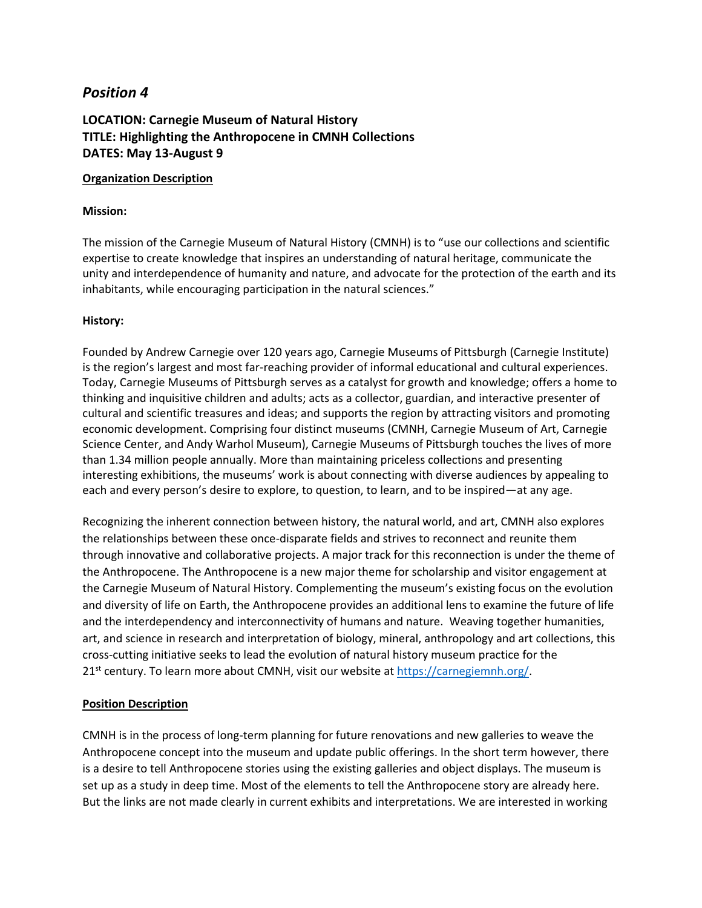## **LOCATION: Carnegie Museum of Natural History TITLE: Highlighting the Anthropocene in CMNH Collections DATES: May 13-August 9**

#### **Organization Description**

#### **Mission:**

The mission of the Carnegie Museum of Natural History (CMNH) is to "use our collections and scientific expertise to create knowledge that inspires an understanding of natural heritage, communicate the unity and interdependence of humanity and nature, and advocate for the protection of the earth and its inhabitants, while encouraging participation in the natural sciences."

### **History:**

Founded by Andrew Carnegie over 120 years ago, Carnegie Museums of Pittsburgh (Carnegie Institute) is the region's largest and most far-reaching provider of informal educational and cultural experiences. Today, Carnegie Museums of Pittsburgh serves as a catalyst for growth and knowledge; offers a home to thinking and inquisitive children and adults; acts as a collector, guardian, and interactive presenter of cultural and scientific treasures and ideas; and supports the region by attracting visitors and promoting economic development. Comprising four distinct museums (CMNH, Carnegie Museum of Art, Carnegie Science Center, and Andy Warhol Museum), Carnegie Museums of Pittsburgh touches the lives of more than 1.34 million people annually. More than maintaining priceless collections and presenting interesting exhibitions, the museums' work is about connecting with diverse audiences by appealing to each and every person's desire to explore, to question, to learn, and to be inspired—at any age.

Recognizing the inherent connection between history, the natural world, and art, CMNH also explores the relationships between these once-disparate fields and strives to reconnect and reunite them through innovative and collaborative projects. A major track for this reconnection is under the theme of the Anthropocene. The Anthropocene is a new major theme for scholarship and visitor engagement at the Carnegie Museum of Natural History. Complementing the museum's existing focus on the evolution and diversity of life on Earth, the Anthropocene provides an additional lens to examine the future of life and the interdependency and interconnectivity of humans and nature. Weaving together humanities, art, and science in research and interpretation of biology, mineral, anthropology and art collections, this cross-cutting initiative seeks to lead the evolution of natural history museum practice for the 21<sup>st</sup> century. To learn more about CMNH, visit our website at [https://carnegiemnh.org/.](https://carnegiemnh.org/)

### **Position Description**

CMNH is in the process of long-term planning for future renovations and new galleries to weave the Anthropocene concept into the museum and update public offerings. In the short term however, there is a desire to tell Anthropocene stories using the existing galleries and object displays. The museum is set up as a study in deep time. Most of the elements to tell the Anthropocene story are already here. But the links are not made clearly in current exhibits and interpretations. We are interested in working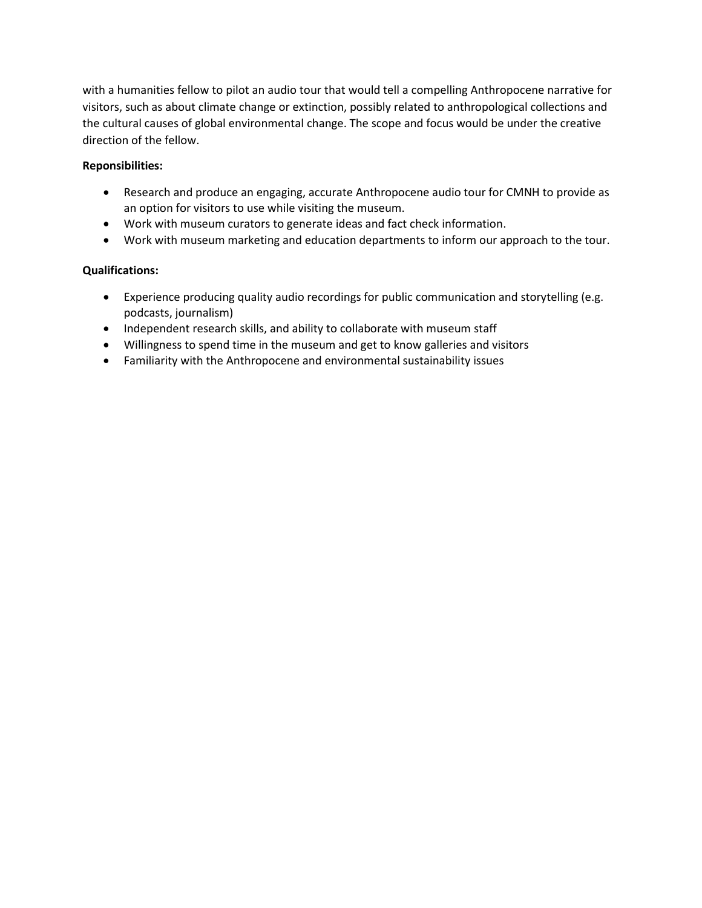with a humanities fellow to pilot an audio tour that would tell a compelling Anthropocene narrative for visitors, such as about climate change or extinction, possibly related to anthropological collections and the cultural causes of global environmental change. The scope and focus would be under the creative direction of the fellow.

## **Reponsibilities:**

- Research and produce an engaging, accurate Anthropocene audio tour for CMNH to provide as an option for visitors to use while visiting the museum.
- Work with museum curators to generate ideas and fact check information.
- Work with museum marketing and education departments to inform our approach to the tour.

- Experience producing quality audio recordings for public communication and storytelling (e.g. podcasts, journalism)
- Independent research skills, and ability to collaborate with museum staff
- Willingness to spend time in the museum and get to know galleries and visitors
- Familiarity with the Anthropocene and environmental sustainability issues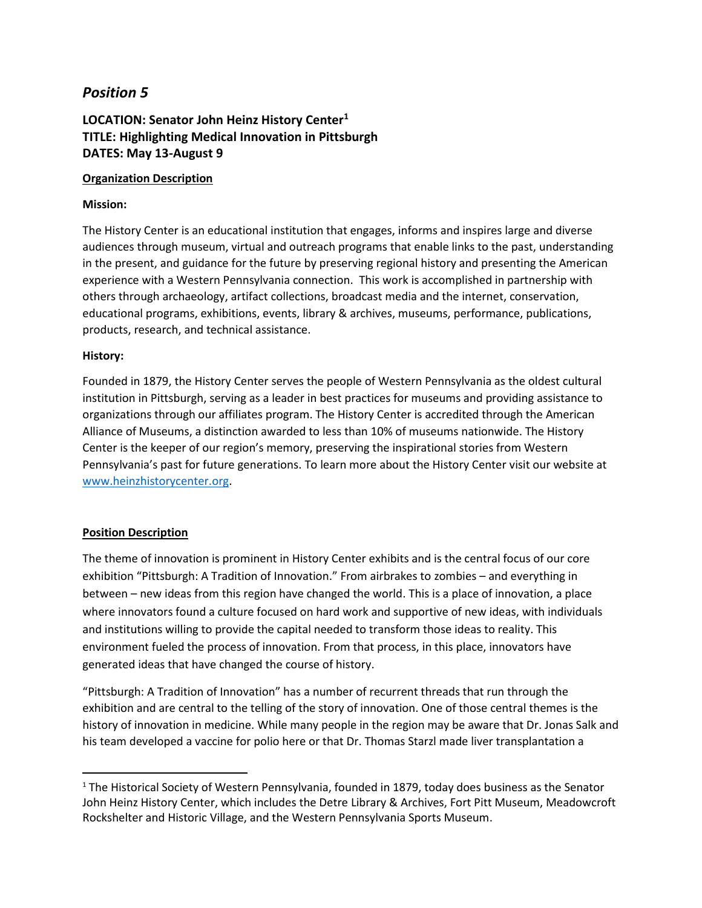## **LOCATION: Senator John Heinz History Center<sup>1</sup> TITLE: Highlighting Medical Innovation in Pittsburgh DATES: May 13-August 9**

### **Organization Description**

## **Mission:**

The History Center is an educational institution that engages, informs and inspires large and diverse audiences through museum, virtual and outreach programs that enable links to the past, understanding in the present, and guidance for the future by preserving regional history and presenting the American experience with a Western Pennsylvania connection. This work is accomplished in partnership with others through archaeology, artifact collections, broadcast media and the internet, conservation, educational programs, exhibitions, events, library & archives, museums, performance, publications, products, research, and technical assistance.

## **History:**

Founded in 1879, the History Center serves the people of Western Pennsylvania as the oldest cultural institution in Pittsburgh, serving as a leader in best practices for museums and providing assistance to organizations through our affiliates program. The History Center is accredited through the American Alliance of Museums, a distinction awarded to less than 10% of museums nationwide. The History Center is the keeper of our region's memory, preserving the inspirational stories from Western Pennsylvania's past for future generations. To learn more about the History Center visit our website at [www.heinzhistorycenter.org.](http://www.heinzhistorycenter.org/)

## **Position Description**

 $\overline{\phantom{a}}$ 

The theme of innovation is prominent in History Center exhibits and is the central focus of our core exhibition "Pittsburgh: A Tradition of Innovation." From airbrakes to zombies – and everything in between – new ideas from this region have changed the world. This is a place of innovation, a place where innovators found a culture focused on hard work and supportive of new ideas, with individuals and institutions willing to provide the capital needed to transform those ideas to reality. This environment fueled the process of innovation. From that process, in this place, innovators have generated ideas that have changed the course of history.

"Pittsburgh: A Tradition of Innovation" has a number of recurrent threads that run through the exhibition and are central to the telling of the story of innovation. One of those central themes is the history of innovation in medicine. While many people in the region may be aware that Dr. Jonas Salk and his team developed a vaccine for polio here or that Dr. Thomas Starzl made liver transplantation a

<sup>&</sup>lt;sup>1</sup> The Historical Society of Western Pennsylvania, founded in 1879, today does business as the Senator John Heinz History Center, which includes the Detre Library & Archives, Fort Pitt Museum, Meadowcroft Rockshelter and Historic Village, and the Western Pennsylvania Sports Museum.